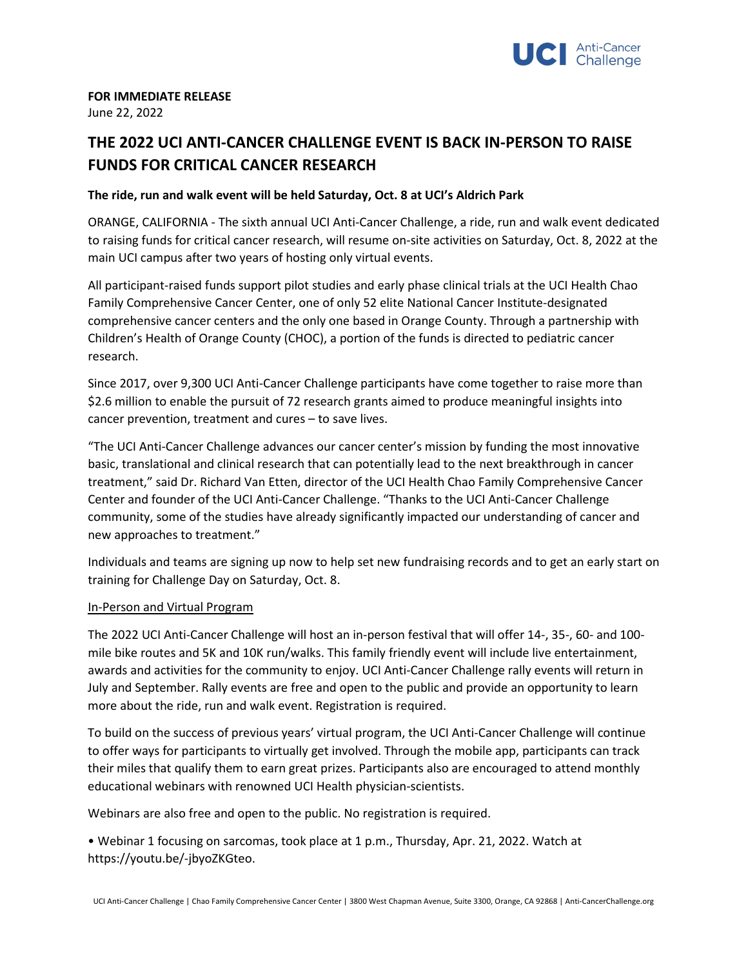

# **FOR IMMEDIATE RELEASE**

June 22, 2022

# **THE 2022 UCI ANTI-CANCER CHALLENGE EVENT IS BACK IN-PERSON TO RAISE FUNDS FOR CRITICAL CANCER RESEARCH**

## **The ride, run and walk event will be held Saturday, Oct. 8 at UCI's Aldrich Park**

ORANGE, CALIFORNIA - The sixth annual UCI Anti-Cancer Challenge, a ride, run and walk event dedicated to raising funds for critical cancer research, will resume on-site activities on Saturday, Oct. 8, 2022 at the main UCI campus after two years of hosting only virtual events.

All participant-raised funds support pilot studies and early phase clinical trials at the UCI Health Chao Family Comprehensive Cancer Center, one of only 52 elite National Cancer Institute-designated comprehensive cancer centers and the only one based in Orange County. Through a partnership with Children's Health of Orange County (CHOC), a portion of the funds is directed to pediatric cancer research.

Since 2017, over 9,300 UCI Anti-Cancer Challenge participants have come together to raise more than \$2.6 million to enable the pursuit of 72 research grants aimed to produce meaningful insights into cancer prevention, treatment and cures – to save lives.

"The UCI Anti-Cancer Challenge advances our cancer center's mission by funding the most innovative basic, translational and clinical research that can potentially lead to the next breakthrough in cancer treatment," said Dr. Richard Van Etten, director of the UCI Health Chao Family Comprehensive Cancer Center and founder of the UCI Anti-Cancer Challenge. "Thanks to the UCI Anti-Cancer Challenge community, some of the studies have already significantly impacted our understanding of cancer and new approaches to treatment."

Individuals and teams are signing up now to help set new fundraising records and to get an early start on training for Challenge Day on Saturday, Oct. 8.

#### In-Person and Virtual Program

The 2022 UCI Anti-Cancer Challenge will host an in-person festival that will offer 14-, 35-, 60- and 100 mile bike routes and 5K and 10K run/walks. This family friendly event will include live entertainment, awards and activities for the community to enjoy. UCI Anti-Cancer Challenge rally events will return in July and September. Rally events are free and open to the public and provide an opportunity to learn more about the ride, run and walk event. Registration is required.

To build on the success of previous years' virtual program, the UCI Anti-Cancer Challenge will continue to offer ways for participants to virtually get involved. Through the mobile app, participants can track their miles that qualify them to earn great prizes. Participants also are encouraged to attend monthly educational webinars with renowned UCI Health physician-scientists.

Webinars are also free and open to the public. No registration is required.

• Webinar 1 focusing on sarcomas, took place at 1 p.m., Thursday, Apr. 21, 2022. Watch at https://youtu.be/-jbyoZKGteo.